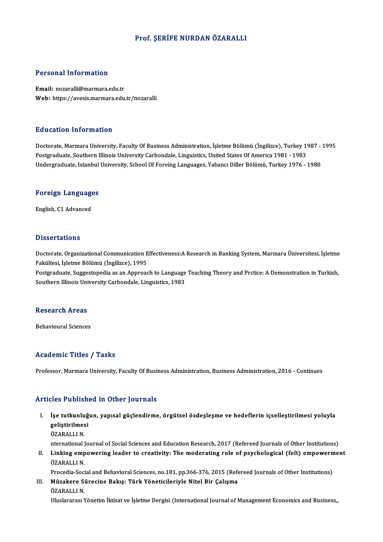### Prof. ŞERİFE NURDAN ÖZARALLI

### Personal Information

Email: nozaralli@marmara.edu.tr Web: https://avesis.marmara.edu.tr/nozaralli

### Education Information

Education Information<br>Doctorate, Marmara University, Faculty Of Business Administration, İşletme Bölümü (İngilizce), Turkey 1987 - 1995<br>Postaraduata Southern Illineis University Carbondale, Linguistics United States Of Ame Puusuteen Timot intution<br>Doctorate, Marmara University, Faculty Of Business Administration, İşletme Bölümü (İngilizce), Turkey 1<br>Indergraduate, Istanbul University, School Of Farsing Languages, Vabancı Diller Bölümü, Turke Postgraduate, Southern Illinois University Carbondale, Linguistics, United States Of America 1981 - 1983<br>Undergraduate, Istanbul University, School Of Foreing Languages, Yabancı Diller Bölümü, Turkey 1976 - 1980

## <sub>ondergraduate, istanbul</sub><br>Foreign Languages <mark>Foreign Languag</mark>e<br>English, C1 Advanced

English, C1 Advanced<br>Dissertations

Dissertations<br>Doctorate, Organizational Communication Effectiveness:A Research in Banking System, Marmara Üniversitesi, İşletme<br>Fakültesi, İslatme Bölümü (İngilizes), 1995 Fakültesi, İşletme Bölümü (İngilizce), 1995<br>Postgraduate, Suggestopedia as an Approach to Language Teaching Theory and Prctice: A Demonstration in Turkish, Doctorate, Organizational Communication Effectiveness:A Research in Banking System, Marmara Üniversitesi, İşletme<br>Fakültesi, İşletme Bölümü (İngilizce), 1995<br>Postgraduate, Suggestopedia as an Approach to Language Teaching

Southern Illinois University Carbondale, Linguistics, 1983

### **Research Areas**

**Behavioural Sciences** 

### Academic Titles / Tasks

Professor, Marmara University, Faculty Of Business Administration, Business Administration, 2016 - Continues

### Articles Published in Other Journals

- I. İşe tutkunluğun, yapısal güçlendirme, örgütsel özdeşleşme ve hedeflerin içsel eştirilmesi yoluyla stes i assist<br>İşe tutkunluğ<br>geliştirilmesi<br>ÖZARALLIN İşe tutkunlu<br>geliştirilmes<br>ÖZARALLI N.<br>nternational l geliştirilmesi<br>ÖZARALLI N.<br>nternational Journal of Social Sciences and Education Research, 2017 (Refereed Journals of Other Institutions)
	-

ÖZARALLI N.<br>International Journal of Social Sciences and Education Research, 2017 (Refereed Journals of Other Institutions)<br>II. Linking empowering leader to creativity: The moderating role of psychological (felt) empow nternational J<br>Linking emp<br>ÖZARALLI N.<br>Procedia Soci Linking empowering leader to creativity: The moderating role of psychological (felt) empowern<br>ÖZARALLI N.<br>Procedia-Social and Behavioral Sciences, no.181, pp.366-376, 2015 (Refereed Journals of Other Institutions)<br>Müzakare

### ÖZARALLI N.<br>Procedia-Social and Behavioral Sciences, no.181, pp.366-376, 2015 (Refe<br>III. Müzakere Sürecine Bakış: Türk Yöneticileriyle Nitel Bir Çalışma<br>ÖZARALLI N Procedia-Soci<br>Müzakere Si<br>ÖZARALLI N.<br>Uluslararası M ÖZARALLI N.<br>Uluslararası Yönetim İktisat ve İşletme Dergisi (International Journal of Management Economics and Business,,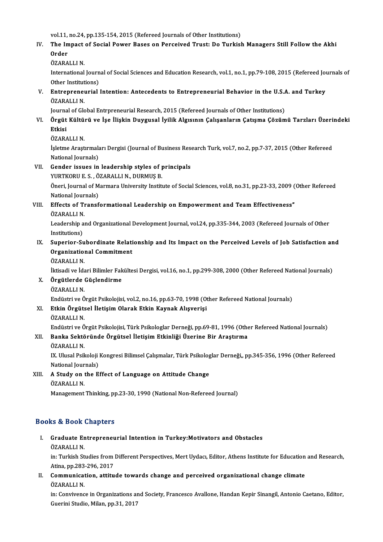vol.11, no.24, pp.135-154, 2015 (Refereed Journals of Other Institutions)<br>The Impact of Social Bourg Bases on Borseived Trust: De Turkiel

## vol.11, no.24, pp.135-154, 2015 (Refereed Journals of Other Institutions)<br>IV. The Impact of Social Power Bases on Perceived Trust: Do Turkish Managers Still Follow the Akhi vol.11,<br>The In<br>Order<br>ÖzAPA The Impact<br>Order<br>ÖZARALLI N.<br>International

Order<br>ÖZARALLI N.<br>International Journal of Social Sciences and Education Research, vol.1, no.1, pp.79-108, 2015 (Refereed Journals of ÖZARALLI N.<br>International Journ<br>Other Institutions)<br>Entrencencurial International Journal of Social Sciences and Education Research, vol.1, no.1, pp.79-108, 2015 (Refereed Journal<br>Other Institutions)<br>V. Entrepreneurial Intention: Antecedents to Entrepreneurial Behavior in the U.S.A. and Tu

## Other Institut<br>Entreprenet<br>ÖZARALLI N.<br>Journal of Cle Entrepreneurial Intention: Antecedents to Entrepreneurial Behavior in the U.S.A<br>ÖZARALLI N.<br>Journal of Global Entrpreneurial Research, 2015 (Refereed Journals of Other Institutions)<br>Örgüt Kültürü ve İse İlişkin Duygusal İy

## ÖZARALLI N.<br>Journal of Global Entrpreneurial Research, 2015 (Refereed Journals of Other Institutions)<br>VI. Örgüt Kültürü ve İşe İlişkin Duygusal İyilik Algısının Çalışanların Çatışma Çözümü Tarzları Üzerindeki<br>Etkisi Journa<br><mark>Örgüt</mark><br>Etkisi<br>Ö7<u>4</u>P4 Örgüt Kültü<br>Etkisi<br>ÖZARALLI N.<br>İskime Arest

Etkisi<br>ÖZARALLI N.<br>İşletme Araştırmaları Dergisi (Journal of Business Research Turk, vol.7, no.2, pp.7-37, 2015 (Other Refereed National Journals) Isletme Arastirmalari Dergisi (Journal of Business Res<br>National Journals)<br>VII. Gender issues in leadership styles of principals<br>VIRTEORUES OZARALLIN DURMIS P

# National Journals)<br>Gender issues in leadership styles of p<br>YURTKORU E. S. , ÖZARALLI N., DURMUŞ B.<br>Öneri Journal of Mermare University Instin

YURTKORU E. S., ÖZARALLI N., DURMUŞ B.

Öneri, Journal of Marmara University Institute of Social Sciences, vol.8, no.31, pp.23-33, 2009 (Other Refereed<br>National Journals) Öneri, Journal of Marmara University Institute of Social Sciences, vol.8, no.31, pp.23-33, 2009 (<br>National Journals)<br>VIII. Effects of Transformational Leadership on Empowerment and Team Effectiveness"<br>ÖZARALLIN

# National Jour<br>Effects of T1<br>ÖZARALLI N.<br>Leadershin.c:

ÖZARALLI N.

Leadership and Organizational Development Journal, vol.24, pp.335-344, 2003 (Refereed Journals of Other Institutions) Leadership and Organizational Development Journal, vol.24, pp.335-344, 2003 (Refereed Journals of Other<br>Institutions)<br>IX. Superior-Subordinate Relationship and Its Impact on the Perceived Levels of Job Satisfaction and<br>Org

## Institutions)<br>Superior-Subordinate Relati<br>Organizational Commitment<br>ÖZARALLLN Superior-Su<br>Organizatio<br>ÖZARALLI N.<br>Uticadi ve İda Organizational Commitment<br>ÖZARALLI N.<br>İktisadi ve İdari Bilimler Fakültesi Dergisi, vol.16, no.1, pp.299-308, 2000 (Other Refereed National Journals)<br>Örgütlerde Cüslendirme

ÖZARALLI N.<br>İktisadi ve İdari Bilimler Fal<br>X. Örgütlerde Güçlendirme<br>ÖZARALLI N. İktisadi ve İda<br><mark>Örgütlerde</mark><br>ÖZARALLI N.<br>Endüstri ve Ö</mark>

Örgütlerde Güçlendirme<br>ÖZARALLI N.<br>Endüstri ve Örgüt Psikolojisi, vol.2, no.16, pp.63-70, 1998 (Other Refereed National Journals)<br>Etkin Öngütsel İletisim Olarak Etkin Kounak Alısyonisi

### XI. Etkin Örgütsel İletişim Olarak Etkin Kaynak Alışverişi<br>ÖZARALLI N. Endüstri ve Ö<br><mark>Etkin Örgüts</mark><br>ÖZARALLI N.<br>Endüstri ve Ö

<mark>Etkin Örgütsel İletişim Olarak Etkin Kaynak Alışverişi</mark><br>ÖZARALLI N.<br>Endüstri ve Örgüt Psikolojisi, Türk Psikologlar Derneği, pp.69-81, 1996 (Other Refereed National Journals)<br>Panka Saktöründe Örgütael İletisim Etkinliği Ü

### XII. Banka Sektöründe Örgütsel İletişim Etkinliği Üzerine Bir Araştırma<br>ÖZARALLI N. Endüstri ve Ö<br><mark>Banka Sektö</mark><br>ÖZARALLI N.<br>IV. Ulusel Psil

Banka Sektöründe Örgütsel İletişim Etkinliği Üzerine Bir Araştırma<br>ÖZARALLI N.<br>IX. Ulusal Psikoloji Kongresi Bilimsel Çalışmalar, Türk Psikologlar Derneği,, pp.345-356, 1996 (Other Refereed<br>National Journale) ÖZARALLI N.<br>IX. Ulusal Psikoloji<br>National Journals)<br>A Study on the E IX. Ulusal Psikoloji Kongresi Bilimsel Çalışmalar, Türk Psikolog<br>National Journals)<br>XIII. A Study on the Effect of Language on Attitude Change<br>ÖZARALLIN

# National Jour<br>**A Study on** 1<br>ÖZARALLI N.<br>Managament

ÖZARALLI N.<br>Management Thinking, pp.23-30, 1990 (National Non-Refereed Journal)

### Books&Book Chapters

ooks & Book Chapters<br>I. Graduate Entrepreneurial Intention in Turkey:Motivators and Obstacles<br>ÖZARALLIN to & Door<br>Graduate Er<br>ÖZARALLIN.<br>in: Turkish St.

Graduate Entrepreneurial Intention in Turkey:Motivators and Obstacles<br>ÖZARALLI N.<br>in: Turkish Studies from Different Perspectives, Mert Uydacı, Editor, Athens Institute for Education and Research,<br>Atina nn 292,296,2017 ÖZARALLI N.<br>in: Turkish Studies from<br>Atina, pp.283-296, 2017<br>Communisation, ettin. in: Turkish Studies from Different Perspectives, Mert Uydacı, Editor, Athens Institute for Education<br>Atina, pp.283-296, 2017<br>II. Communication, attitude towards change and perceived organizational change climate<br>ÖZARALLIN

Atina, pp.283<br>Communicat<br>ÖZARALLI N.<br>in: Convivens Communication, attitude towards change and perceived organizational change climate<br>ÖZARALLI N.<br>in: Convivence in Organizations and Society, Francesco Avallone, Handan Kepir Sinangil, Antonio Caetano, Editor,

ÖZARALLI N.<br>in: Convivence in Organizations ar<br>Guerini Studio, Milan, pp.31, 2017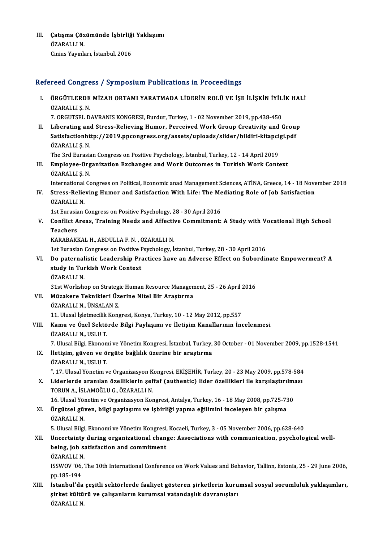III. Çatışma Çözümünde İşbirliği Yaklaşımı<br>ÖZARALLIN Çatışma Çöz<br>ÖZARALLI N.<br>Giniye Younle Çatışma Çözümünde İşbirliğ<br>ÖZARALLI N.<br>Cinius Yayınları, İstanbul, 2016

# Cinius Yayınları, İstanbul, 2016<br>Refereed Congress / Symposium Publications in Proceedings

efereed Congress / Symposium Publications in Proceedings<br>I. ÖRGÜTLERDE MİZAH ORTAMI YARATMADA LİDERİN ROLÜ VE İŞE İLİŞKİN İYİLİK HALİ<br>ÖZARALLIS N TOOR GOLIST<br>ÖRGÜTLERDE<br>ÖZARALLI Ş. N.<br>7. ORGUTSEL D ÖRGÜTLERDE MİZAH ORTAMI YARATMADA LİDERİN ROLÜ VE İŞE İLİŞKİN İYİL<br>ÖZARALLI Ş. N.<br>7. ORGUTSEL DAVRANIS KONGRESI, Burdur, Turkey, 1 - 02 November 2019, pp.438-450<br>Liberating and Strees Believing Humar, Berseived Wark Croup ÖZARALLI Ș. N.<br>7. ORGUTSEL DAVRANIS KONGRESI, Burdur, Turkey, 1 - 02 November 2019, pp.438-450<br>II. Liberating and Stress-Relieving Humor, Perceived Work Group Creativity and Group

7. ORGUTSEL DAVRANIS KONGRESI, Burdur, Turkey, 1 - 02 November 2019, pp.438-450<br>Liberating and Stress-Relieving Humor, Perceived Work Group Creativity and Grou<sub>l</sub><br>Satisfactionhttp://2019.ppcongress.org/assets/uploads/slide Liberating an<br>Satisfactionht<br>ÖZARALLI Ş.N.<br>The <sup>2nd Eunocio</sup> Satisfactionhttp://2019.ppcongress.org/assets/uploads/slider/bildiri-kitapci<br>ÖZARALLI Ş. N.<br>The 3rd Eurasian Congress on Positive Psychology, İstanbul, Turkey, 12 - 14 April 2019<br>Employee Organization Eyghanges and Work Ou

The 3rd Eurasian Congress on Positive Psychology, İstanbul, Turkey, 12 - 14 April 2019

ÖZARALLI Ș. N.<br>The 3rd Eurasian Congress on Positive Psychology, İstanbul, Turkey, 12 - 14 April 2019<br>III. Employee-Organization Exchanges and Work Outcomes in Turkish Work Context<br>ÖZARALLI S. N.

International Congress on Political, Economic anad Management Sciences, ATİNA, Greece, 14 - 18 November 2018

ÖZARALLI Ș. N.<br>International Congress on Political, Economic anad Management Sciences, ATİNA, Greece, 14 - 18 Nove<br>IV. Stress-Relieving Humor and Satisfaction With Life: The Mediating Role of Job Satisfaction<br>ÖZARALLI International<br>Stress-Relie<br>ÖZARALLI N.<br>1st Eunosian Stress-Relieving Humor and Satisfaction With Life: The Me<br>ÖZARALLI N.<br>1st Eurasian Congress on Positive Psychology, 28 - 30 April 2016<br>Conflict Areas, Training Needs and Affective Commitment.

ÖZARALLI N.<br>1st Eurasian Congress on Positive Psychology, 28 - 30 April 2016<br>V. Conflict Areas, Training Needs and Affective Commitment: A Study with Vocational High School<br>Teachers 1st Eurasia<br>Conflict A<br>Teachers<br>KARARAKI Conflict Areas, Training Needs and Affectiv<br>Teachers<br>KARABAKKAL H., ABDULLA F. N. , ÖZARALLI N.<br>1st Eurosian Congress on Positive Peychology, İs Teachers<br>KARABAKKAL H., ABDULLA F. N. , ÖZARALLI N.<br>1st Eurasian Congress on Positive Psychology, İstanbul, Turkey, 28 - 30 April 2016<br>De naternalistis Leadershin Brastises have an Adverse Effect en Suberdir

KARABAKKAL H., ABDULLA F. N. , ÖZARALLI N.<br>1st Eurasian Congress on Positive Psychology, İstanbul, Turkey, 28 - 30 April 2016<br>VI. Do paternalistic Leadership Practices have an Adverse Effect on Subordinate Empowerment? 1st Eurasian Congress on Positive F<br>Do paternalistic Leadership Pra<br>study in Turkish Work Context<br>ÖZARALLI N Do paternal<br>study in Tur<br>ÖZARALLI N.<br><sup>21st Workshe</sub></sup> study in Turkish Work Context<br>ÖZARALLI N.<br>31st Workshop on Strategic Human Resource Management, 25 - 26 April 2016

ÖZARALLI N.<br>31st Workshop on Strategic Human Resource Managen<br>VII. Müzakere Teknikleri Üzerine Nitel Bir Araştırma<br>ÖZARALLI N. ÜNSALAN Z 31st Workshop on Strategi<br>Müzakere Teknikleri Üz<br>ÖZARALLI N., ÜNSALAN Z.<br>11. Ulusal İslatmasilik Kons Müzakere Teknikleri Üzerine Nitel Bir Araştırma<br>ÖZARALLI N., ÜNSALAN Z.<br>11. Ulusal İşletmecilik Kongresi, Konya, Turkey, 10 - 12 May 2012, pp.557<br>Komu ve Özel Sektörde Bilgi Baylasımı ve İletisim Konellarının İn

ÖZARALLI N., ÜNSALAN Z.<br>11. Ulusal İşletmecilik Kongresi, Konya, Turkey, 10 - 12 May 2012, pp.557<br>VIII. Kamu ve Özel Sektörde Bilgi Paylaşımı ve İletişim Kanallarının İncelenmesi<br>ÖZARALLI N., USLU T. 11. Ulusal İşletmecilik<br>**Kamu ve Özel Sektö**<br>ÖZARALLI N., USLU T.<br>7. Ulusal Bilgi, Flianom Kamu ve Özel Sektörde Bilgi Paylaşımı ve İletişim Kanallarının İncelenmesi<br>ÖZARALLI N., USLU T.<br>7. Ulusal Bilgi, Ekonomi ve Yönetim Kongresi, İstanbul, Turkey, 30 October - 01 November 2009, pp.1528-1541<br>İletisim, güyen ve

IX. İletişim, güven ve örgüte bağlılık üzerine bir araştırma 7. Ulusal Bilgi, Ekonom<br><mark>İletişim, güven ve ö</mark><br>ÖZARALLI N., USLU T.<br>" 17. Ulusal Yönetim y İletişim, güven ve örgüte bağlılık üzerine bir araştırma<br>ÖZARALLI N., USLU T.<br>", 17. Ulusal Yönetim ve Organizasyon Kongresi, EKİŞEHİR, Turkey, 20 - 23 May 2009, pp.578-584<br>Lidarlarda aranılar, özalliklerin saffaf (authant

ÖZARALLI N., USLU T.<br>", 17. Ulusal Yönetim ve Organizasyon Kongresi, EKİŞEHİR, Turkey, 20 - 23 May 2009, pp.578-584<br>X. Liderlerde aranılan özelliklerin şeffaf (authentic) lider özellikleri ile karşılaştırılması<br>TOPUN A ", 17. Ulusal Yönetim ve Organizasyon K<br>Liderlerde aranılan özelliklerin şef<br>TORUN A., İSLAMOĞLU G., ÖZARALLI N.<br>16. Ulusal Yönetim ve Organizasyon Kor Liderlerde aranılan özelliklerin şeffaf (authentic) lider özellikleri ile karşılaştırılmı<br>TORUN A., İSLAMOĞLU G., ÖZARALLI N.<br>16. Ulusal Yönetim ve Organizasyon Kongresi, Antalya, Turkey, 16 - 18 May 2008, pp.725-730<br>Öngüt

TORUN A., İSLAMOĞLU G., ÖZARALLI N.<br>16. Ulusal Yönetim ve Organizasyon Kongresi, Antalya, Turkey, 16 - 18 May 2008, pp.725-73<br>XI. Örgütsel güven, bilgi paylaşımı ve işbirliği yapma eğilimini inceleyen bir çalışma<br>ÖZARA 16. Ulusal Yön<br>**Örgütsel gün**<br>ÖZARALLI N. öZARALLI N.<br>5. Ulusal Bilgi, Ekonomi ve Yönetim Kongresi, Kocaeli, Turkey, 3 - 05 November 2006, pp.628-640

### ÖZARALLI N.<br>5. Ulusal Bilgi, Ekonomi ve Yönetim Kongresi, Kocaeli, Turkey, 3 - 05 November 2006, pp.628-640<br>XII. Uncertainty during organizational change: Associations with communication, psychological well-<br>heing, job 5. Ulusal Bilgi, Ekonomi ve Yönetim Kongresi,<br>Uncertainty during organizational chan<sub>i</sub><br>being, job satisfaction and commitment<br>ÖZARALLLN Uncertainty<br>being, job sa<br>ÖZARALLI N.<br>ISSWOV '06 being, job satisfaction and commitment<br>ÖZARALLI N.<br>ISSWOV '06, The 10th International Conference on Work Values and Behavior, Tallinn, Estonia, 25 - 29 June 2006,

ÖZARALLI N<br>ISSWOV '06,<br>pp.185-194<br>İstanbul'da ISSWOV '06, The 10th International Conference on Work Values and Behavior, Tallinn, Estonia, 25 - 29 June 2006,<br>pp.185-194<br>XIII. İstanbul'da çeşitli sektörlerde faaliyet gösteren şirketlerin kurumsal sosyal sorumluluk yakl

pp.185-194<br>İstanbul'da çeşitli sektörlerde faaliyet gösteren şirketlerin kuru<br>şirket kültürü ve çalışanların kurumsal vatandaşlık davranışları<br>ÖZARALLLN İstanbul'da<br>şirket kültü<br>ÖZARALLI N.